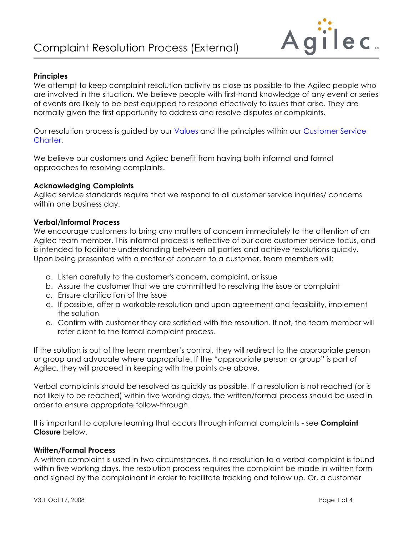

## **Principles**

We attempt to keep complaint resolution activity as close as possible to the Agilec people who are involved in the situation. We believe people with first-hand knowledge of any event or series of events are likely to be best equipped to respond effectively to issues that arise. They are normally given the first opportunity to address and resolve disputes or complaints.

Our resolution process is guided by our [Values](http://www.agilec.ca/our-company/mission-and-values) and the principles within our [Customer Service](http://www.agilec.ca/our-company/customer-service-charter)  Charter.

We believe our customers and Agilec benefit from having both informal and formal approaches to resolving complaints.

## **Acknowledging Complaints**

Agilec service standards require that we respond to all customer service inquiries/ concerns within one business day.

#### **Verbal/Informal Process**

We encourage customers to bring any matters of concern immediately to the attention of an Agilec team member. This informal process is reflective of our core customer-service focus, and is intended to facilitate understanding between all parties and achieve resolutions quickly. Upon being presented with a matter of concern to a customer, team members will:

- a. Listen carefully to the customer's concern, complaint, or issue
- b. Assure the customer that we are committed to resolving the issue or complaint
- c. Ensure clarification of the issue
- d. If possible, offer a workable resolution and upon agreement and feasibility, implement the solution
- e. Confirm with customer they are satisfied with the resolution. If not, the team member will refer client to the formal complaint process.

If the solution is out of the team member's control, they will redirect to the appropriate person or group and advocate where appropriate. If the "appropriate person or group" is part of Agilec, they will proceed in keeping with the points a-e above.

Verbal complaints should be resolved as quickly as possible. If a resolution is not reached (or is not likely to be reached) within five working days, the written/formal process should be used in order to ensure appropriate follow-through.

It is important to capture learning that occurs through informal complaints - see **Complaint Closure** below.

#### **Written/Formal Process**

A written complaint is used in two circumstances. If no resolution to a verbal complaint is found within five working days, the resolution process requires the complaint be made in written form and signed by the complainant in order to facilitate tracking and follow up. Or, a customer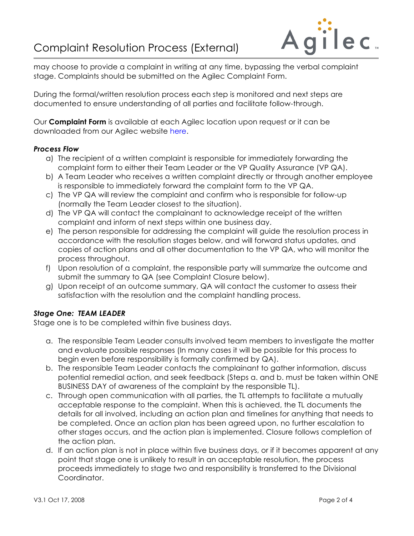# Complaint Resolution Process (External)



may choose to provide a complaint in writing at any time, bypassing the verbal complaint stage. Complaints should be submitted on the Agilec Complaint Form.

During the formal/written resolution process each step is monitored and next steps are documented to ensure understanding of all parties and facilitate follow-through.

Our **Complaint Form** is available at each Agilec location upon request or it can be downloaded from our Agilec website [here.](http://www.agilec.ca/sites/default/files/complaint20form20external.pdf)

## *Process Flow*

- a) The recipient of a written complaint is responsible for immediately forwarding the complaint form to either their Team Leader or the VP Quality Assurance (VP QA).
- b) A Team Leader who receives a written complaint directly or through another employee is responsible to immediately forward the complaint form to the VP QA.
- c) The VP QA will review the complaint and confirm who is responsible for follow-up (normally the Team Leader closest to the situation).
- d) The VP QA will contact the complainant to acknowledge receipt of the written complaint and inform of next steps within one business day.
- e) The person responsible for addressing the complaint will guide the resolution process in accordance with the resolution stages below, and will forward status updates, and copies of action plans and all other documentation to the VP QA, who will monitor the process throughout.
- f) Upon resolution of a complaint, the responsible party will summarize the outcome and submit the summary to QA (see Complaint Closure below).
- g) Upon receipt of an outcome summary, QA will contact the customer to assess their satisfaction with the resolution and the complaint handling process.

## *Stage One: TEAM LEADER*

Stage one is to be completed within five business days.

- a. The responsible Team Leader consults involved team members to investigate the matter and evaluate possible responses (In many cases it will be possible for this process to begin even before responsibility is formally confirmed by QA).
- b. The responsible Team Leader contacts the complainant to gather information, discuss potential remedial action, and seek feedback (Steps a. and b. must be taken within ONE BUSINESS DAY of awareness of the complaint by the responsible TL).
- c. Through open communication with all parties, the TL attempts to facilitate a mutually acceptable response to the complaint. When this is achieved, the TL documents the details for all involved, including an action plan and timelines for anything that needs to be completed. Once an action plan has been agreed upon, no further escalation to other stages occurs, and the action plan is implemented. Closure follows completion of the action plan.
- d. If an action plan is not in place within five business days, or if it becomes apparent at any point that stage one is unlikely to result in an acceptable resolution, the process proceeds immediately to stage two and responsibility is transferred to the Divisional Coordinator.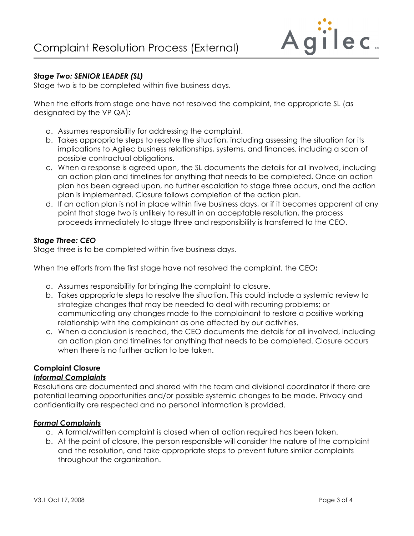

## *Stage Two: SENIOR LEADER (SL)*

Stage two is to be completed within five business days.

When the efforts from stage one have not resolved the complaint, the appropriate SL (as designated by the VP QA)**:** 

- a. Assumes responsibility for addressing the complaint.
- b. Takes appropriate steps to resolve the situation, including assessing the situation for its implications to Agilec business relationships, systems, and finances, including a scan of possible contractual obligations.
- c. When a response is agreed upon, the SL documents the details for all involved, including an action plan and timelines for anything that needs to be completed. Once an action plan has been agreed upon, no further escalation to stage three occurs, and the action plan is implemented. Closure follows completion of the action plan.
- d. If an action plan is not in place within five business days, or if it becomes apparent at any point that stage two is unlikely to result in an acceptable resolution, the process proceeds immediately to stage three and responsibility is transferred to the CEO.

## *Stage Three: CEO*

Stage three is to be completed within five business days.

When the efforts from the first stage have not resolved the complaint, the CEO**:** 

- a. Assumes responsibility for bringing the complaint to closure.
- b. Takes appropriate steps to resolve the situation. This could include a systemic review to strategize changes that may be needed to deal with recurring problems; or communicating any changes made to the complainant to restore a positive working relationship with the complainant as one affected by our activities.
- c. When a conclusion is reached, the CEO documents the details for all involved, including an action plan and timelines for anything that needs to be completed. Closure occurs when there is no further action to be taken.

# **Complaint Closure**

## *Informal Complaints*

Resolutions are documented and shared with the team and divisional coordinator if there are potential learning opportunities and/or possible systemic changes to be made. Privacy and confidentiality are respected and no personal information is provided.

## *Formal Complaints*

- a. A formal/written complaint is closed when all action required has been taken.
- b. At the point of closure, the person responsible will consider the nature of the complaint and the resolution, and take appropriate steps to prevent future similar complaints throughout the organization.